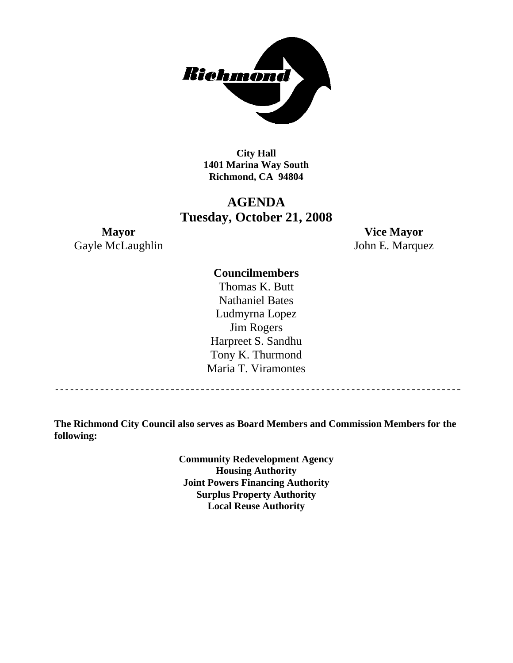

**City Hall 1401 Marina Way South Richmond, CA 94804** 

# **AGENDA Tuesday, October 21, 2008**

Gayle McLaughlin John E. Marquez

**Mayor Vice Mayor** 

## **Councilmembers**

Thomas K. Butt Nathaniel Bates Ludmyrna Lopez Jim Rogers Harpreet S. Sandhu Tony K. Thurmond Maria T. Viramontes

**The Richmond City Council also serves as Board Members and Commission Members for the following:** 

> **Community Redevelopment Agency Housing Authority Joint Powers Financing Authority Surplus Property Authority Local Reuse Authority**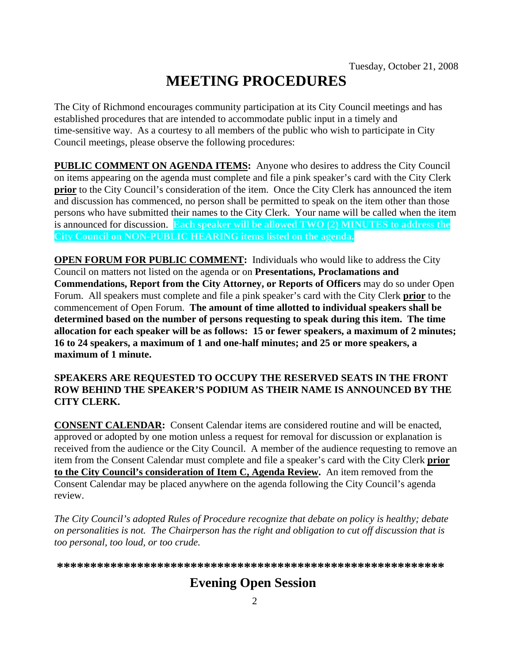# **MEETING PROCEDURES**

The City of Richmond encourages community participation at its City Council meetings and has established procedures that are intended to accommodate public input in a timely and time-sensitive way. As a courtesy to all members of the public who wish to participate in City Council meetings, please observe the following procedures:

**PUBLIC COMMENT ON AGENDA ITEMS:** Anyone who desires to address the City Council on items appearing on the agenda must complete and file a pink speaker's card with the City Clerk **prior** to the City Council's consideration of the item. Once the City Clerk has announced the item and discussion has commenced, no person shall be permitted to speak on the item other than those persons who have submitted their names to the City Clerk. Your name will be called when the item is announced for discussion. **Each speaker will be allowed TWO (2) MINUTES to address the City Council on NON-PUBLIC HEARING items listed on the agenda.** 

**OPEN FORUM FOR PUBLIC COMMENT:** Individuals who would like to address the City Council on matters not listed on the agenda or on **Presentations, Proclamations and Commendations, Report from the City Attorney, or Reports of Officers** may do so under Open Forum. All speakers must complete and file a pink speaker's card with the City Clerk **prior** to the commencement of Open Forum. **The amount of time allotted to individual speakers shall be determined based on the number of persons requesting to speak during this item. The time allocation for each speaker will be as follows: 15 or fewer speakers, a maximum of 2 minutes; 16 to 24 speakers, a maximum of 1 and one-half minutes; and 25 or more speakers, a maximum of 1 minute.** 

#### **SPEAKERS ARE REQUESTED TO OCCUPY THE RESERVED SEATS IN THE FRONT ROW BEHIND THE SPEAKER'S PODIUM AS THEIR NAME IS ANNOUNCED BY THE CITY CLERK.**

**CONSENT CALENDAR:** Consent Calendar items are considered routine and will be enacted, approved or adopted by one motion unless a request for removal for discussion or explanation is received from the audience or the City Council. A member of the audience requesting to remove an item from the Consent Calendar must complete and file a speaker's card with the City Clerk **prior to the City Council's consideration of Item C, Agenda Review.** An item removed from the Consent Calendar may be placed anywhere on the agenda following the City Council's agenda review.

*The City Council's adopted Rules of Procedure recognize that debate on policy is healthy; debate on personalities is not. The Chairperson has the right and obligation to cut off discussion that is too personal, too loud, or too crude.* 

**\*\*\*\*\*\*\*\*\*\*\*\*\*\*\*\*\*\*\*\*\*\*\*\*\*\*\*\*\*\*\*\*\*\*\*\*\*\*\*\*\*\*\*\*\*\*\*\*\*\*\*\*\*\*\*\*\*\***

# **Evening Open Session**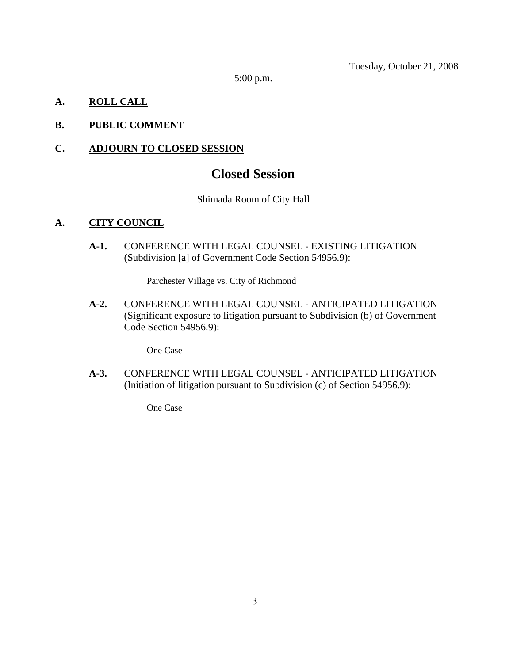Tuesday, October 21, 2008

5:00 p.m.

## **A. ROLL CALL**

### **B. PUBLIC COMMENT**

#### **C. ADJOURN TO CLOSED SESSION**

# **Closed Session**

#### Shimada Room of City Hall

#### **A. CITY COUNCIL**

**A-1.** CONFERENCE WITH LEGAL COUNSEL - EXISTING LITIGATION (Subdivision [a] of Government Code Section 54956.9):

Parchester Village vs. City of Richmond

**A-2.** CONFERENCE WITH LEGAL COUNSEL - ANTICIPATED LITIGATION (Significant exposure to litigation pursuant to Subdivision (b) of Government Code Section 54956.9):

One Case

**A-3.** CONFERENCE WITH LEGAL COUNSEL - ANTICIPATED LITIGATION (Initiation of litigation pursuant to Subdivision (c) of Section 54956.9):

One Case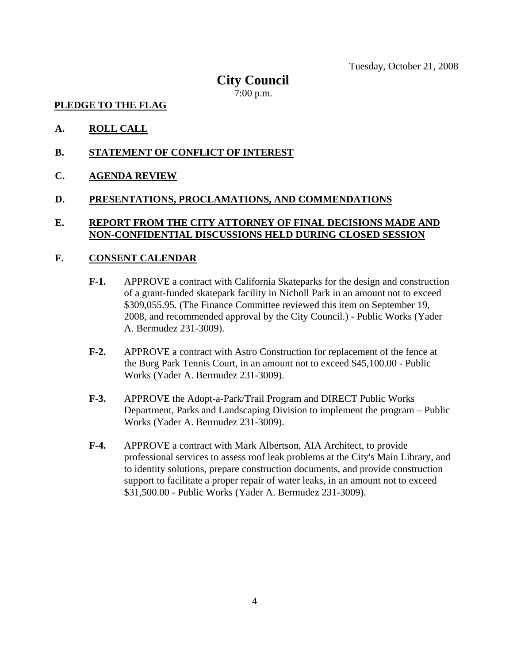## **City Council**

7:00 p.m.

#### **PLEDGE TO THE FLAG**

- **A. ROLL CALL**
- **B. STATEMENT OF CONFLICT OF INTEREST**
- **C. AGENDA REVIEW**

#### **D. PRESENTATIONS, PROCLAMATIONS, AND COMMENDATIONS**

#### **E. REPORT FROM THE CITY ATTORNEY OF FINAL DECISIONS MADE AND NON-CONFIDENTIAL DISCUSSIONS HELD DURING CLOSED SESSION**

#### **F. CONSENT CALENDAR**

- **F-1.** APPROVE a contract with California Skateparks for the design and construction of a grant-funded skatepark facility in Nicholl Park in an amount not to exceed \$309,055.95. (The Finance Committee reviewed this item on September 19, 2008, and recommended approval by the City Council.) - Public Works (Yader A. Bermudez 231-3009).
- **F-2.** APPROVE a contract with Astro Construction for replacement of the fence at the Burg Park Tennis Court, in an amount not to exceed \$45,100.00 - Public Works (Yader A. Bermudez 231-3009).
- **F-3.** APPROVE the Adopt-a-Park/Trail Program and DIRECT Public Works Department, Parks and Landscaping Division to implement the program – Public Works (Yader A. Bermudez 231-3009).
- **F-4.** APPROVE a contract with Mark Albertson, AIA Architect, to provide professional services to assess roof leak problems at the City's Main Library, and to identity solutions, prepare construction documents, and provide construction support to facilitate a proper repair of water leaks, in an amount not to exceed \$31,500.00 - Public Works (Yader A. Bermudez 231-3009).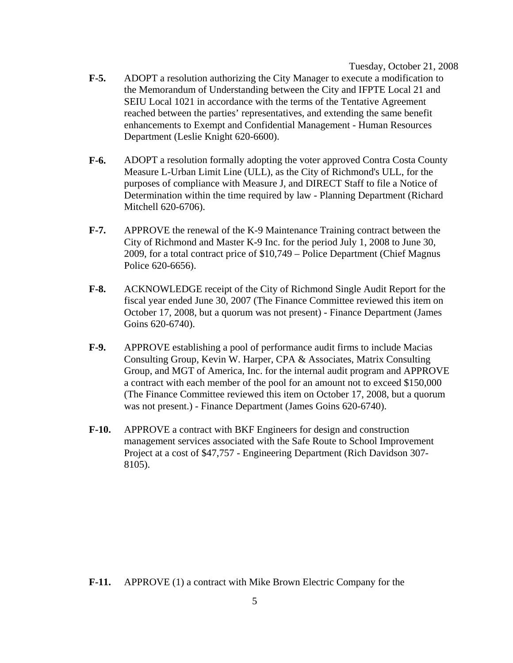Tuesday, October 21, 2008

- **F-5.** ADOPT a resolution authorizing the City Manager to execute a modification to the Memorandum of Understanding between the City and IFPTE Local 21 and SEIU Local 1021 in accordance with the terms of the Tentative Agreement reached between the parties' representatives, and extending the same benefit enhancements to Exempt and Confidential Management - Human Resources Department (Leslie Knight 620-6600).
- **F-6.** ADOPT a resolution formally adopting the voter approved Contra Costa County Measure L-Urban Limit Line (ULL), as the City of Richmond's ULL, for the purposes of compliance with Measure J, and DIRECT Staff to file a Notice of Determination within the time required by law - Planning Department (Richard Mitchell 620-6706).
- **F-7.** APPROVE the renewal of the K-9 Maintenance Training contract between the City of Richmond and Master K-9 Inc. for the period July 1, 2008 to June 30, 2009, for a total contract price of \$10,749 – Police Department (Chief Magnus Police 620-6656).
- **F-8.** ACKNOWLEDGE receipt of the City of Richmond Single Audit Report for the fiscal year ended June 30, 2007 (The Finance Committee reviewed this item on October 17, 2008, but a quorum was not present) - Finance Department (James Goins 620-6740).
- **F-9.** APPROVE establishing a pool of performance audit firms to include Macias Consulting Group, Kevin W. Harper, CPA & Associates, Matrix Consulting Group, and MGT of America, Inc. for the internal audit program and APPROVE a contract with each member of the pool for an amount not to exceed \$150,000 (The Finance Committee reviewed this item on October 17, 2008, but a quorum was not present.) - Finance Department (James Goins 620-6740).
- **F-10.** APPROVE a contract with BKF Engineers for design and construction management services associated with the Safe Route to School Improvement Project at a cost of \$47,757 - Engineering Department (Rich Davidson 307- 8105).

**F-11.** APPROVE (1) a contract with Mike Brown Electric Company for the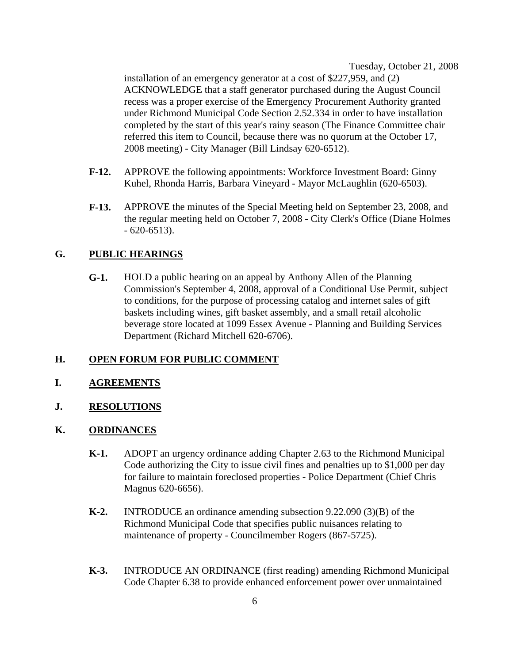Tuesday, October 21, 2008

installation of an emergency generator at a cost of \$227,959, and (2) ACKNOWLEDGE that a staff generator purchased during the August Council recess was a proper exercise of the Emergency Procurement Authority granted under Richmond Municipal Code Section 2.52.334 in order to have installation completed by the start of this year's rainy season (The Finance Committee chair referred this item to Council, because there was no quorum at the October 17, 2008 meeting) - City Manager (Bill Lindsay 620-6512).

- **F-12.** APPROVE the following appointments: Workforce Investment Board: Ginny Kuhel, Rhonda Harris, Barbara Vineyard - Mayor McLaughlin (620-6503).
- **F-13.** APPROVE the minutes of the Special Meeting held on September 23, 2008, and the regular meeting held on October 7, 2008 - City Clerk's Office (Diane Holmes - 620-6513).

#### **G. PUBLIC HEARINGS**

**G-1.** HOLD a public hearing on an appeal by Anthony Allen of the Planning Commission's September 4, 2008, approval of a Conditional Use Permit, subject to conditions, for the purpose of processing catalog and internet sales of gift baskets including wines, gift basket assembly, and a small retail alcoholic beverage store located at 1099 Essex Avenue - Planning and Building Services Department (Richard Mitchell 620-6706).

#### **H. OPEN FORUM FOR PUBLIC COMMENT**

- **I. AGREEMENTS**
- **J. RESOLUTIONS**

#### **K. ORDINANCES**

- **K-1.** ADOPT an urgency ordinance adding Chapter 2.63 to the Richmond Municipal Code authorizing the City to issue civil fines and penalties up to \$1,000 per day for failure to maintain foreclosed properties - Police Department (Chief Chris Magnus 620-6656).
- **K-2.** INTRODUCE an ordinance amending subsection 9.22.090 (3)(B) of the Richmond Municipal Code that specifies public nuisances relating to maintenance of property - Councilmember Rogers (867-5725).
- **K-3.** INTRODUCE AN ORDINANCE (first reading) amending Richmond Municipal Code Chapter 6.38 to provide enhanced enforcement power over unmaintained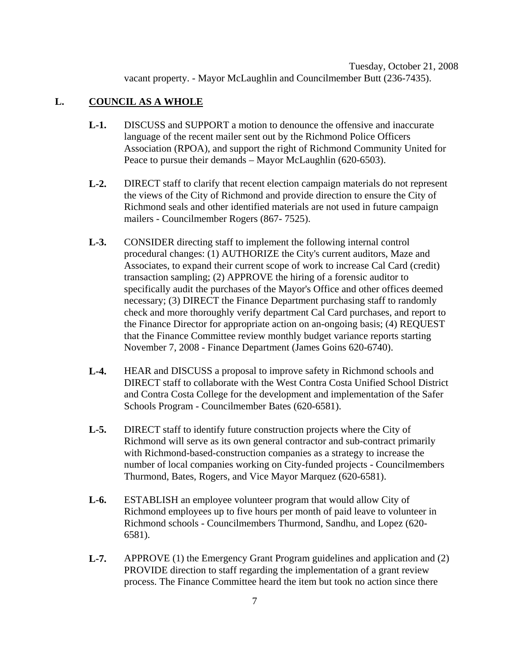#### **L. COUNCIL AS A WHOLE**

- **L-1.** DISCUSS and SUPPORT a motion to denounce the offensive and inaccurate language of the recent mailer sent out by the Richmond Police Officers Association (RPOA), and support the right of Richmond Community United for Peace to pursue their demands – Mayor McLaughlin (620-6503).
- **L-2.** DIRECT staff to clarify that recent election campaign materials do not represent the views of the City of Richmond and provide direction to ensure the City of Richmond seals and other identified materials are not used in future campaign mailers - Councilmember Rogers (867- 7525).
- **L-3.** CONSIDER directing staff to implement the following internal control procedural changes: (1) AUTHORIZE the City's current auditors, Maze and Associates, to expand their current scope of work to increase Cal Card (credit) transaction sampling; (2) APPROVE the hiring of a forensic auditor to specifically audit the purchases of the Mayor's Office and other offices deemed necessary; (3) DIRECT the Finance Department purchasing staff to randomly check and more thoroughly verify department Cal Card purchases, and report to the Finance Director for appropriate action on an-ongoing basis; (4) REQUEST that the Finance Committee review monthly budget variance reports starting November 7, 2008 - Finance Department (James Goins 620-6740).
- **L-4.** HEAR and DISCUSS a proposal to improve safety in Richmond schools and DIRECT staff to collaborate with the West Contra Costa Unified School District and Contra Costa College for the development and implementation of the Safer Schools Program - Councilmember Bates (620-6581).
- **L-5.** DIRECT staff to identify future construction projects where the City of Richmond will serve as its own general contractor and sub-contract primarily with Richmond-based-construction companies as a strategy to increase the number of local companies working on City-funded projects - Councilmembers Thurmond, Bates, Rogers, and Vice Mayor Marquez (620-6581).
- **L-6.** ESTABLISH an employee volunteer program that would allow City of Richmond employees up to five hours per month of paid leave to volunteer in Richmond schools - Councilmembers Thurmond, Sandhu, and Lopez (620- 6581).
- **L-7.** APPROVE (1) the Emergency Grant Program guidelines and application and (2) PROVIDE direction to staff regarding the implementation of a grant review process. The Finance Committee heard the item but took no action since there